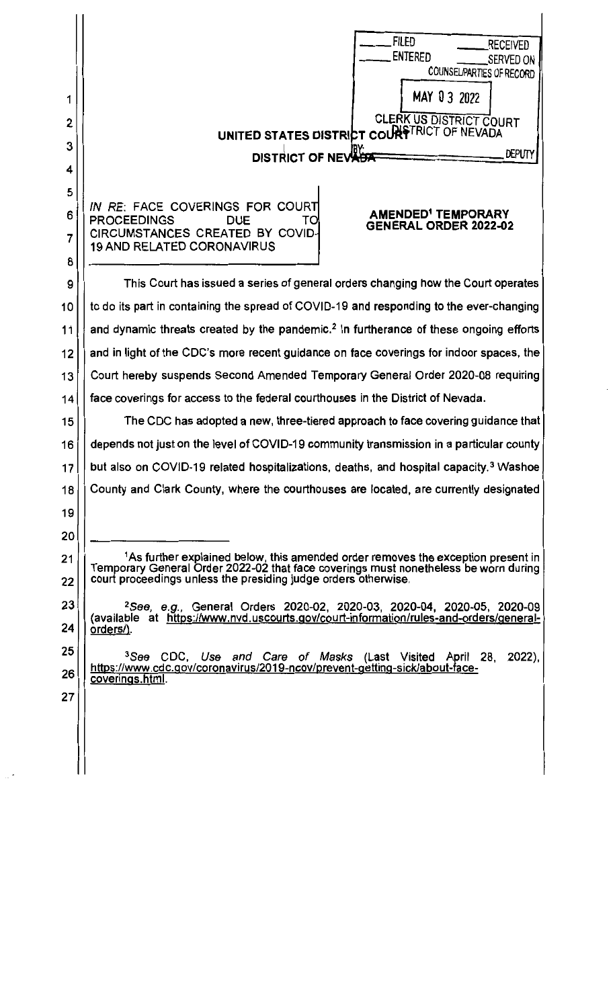| 1<br>2<br>3<br>4 | <b>FILED</b><br>Received<br><b>ENTERED</b><br>Served on.<br>COUNSELPARTIES OF RECORD<br>MAY 03 2022<br><b>CLERK US DISTRICT COURT</b><br>UNITED STATES DISTRICT COURSTRICT OF NEVADA<br><b>DISTRICT OF NEVABE</b><br><b>DEPUTY</b> |
|------------------|------------------------------------------------------------------------------------------------------------------------------------------------------------------------------------------------------------------------------------|
| 5<br>6<br>7<br>8 | IN RE: FACE COVERINGS FOR COURT<br><b>AMENDED<sup>1</sup> TEMPORARY</b><br><b>PROCEEDINGS</b><br><b>DUE</b><br>TO.<br><b>GENERAL ORDER 2022-02</b><br>CIRCUMSTANCES CREATED BY COVID-<br><b>19 AND RELATED CORONAVIRUS</b>         |
| 9                | This Court has issued a series of general orders changing how the Court operates                                                                                                                                                   |
| 10               | to do its part in containing the spread of COVID-19 and responding to the ever-changing                                                                                                                                            |
| 11               | and dynamic threats created by the pandemic. <sup>2</sup> In furtherance of these ongoing efforts                                                                                                                                  |
| 12               | and in light of the CDC's more recent guidance on face coverings for indoor spaces, the                                                                                                                                            |
| 13               | Court hereby suspends Second Amended Temporary General Order 2020-08 requiring                                                                                                                                                     |
| 14               | face coverings for access to the federal courthouses in the District of Nevada.                                                                                                                                                    |
| 15               | The CDC has adopted a new, three-tiered approach to face covering guidance that                                                                                                                                                    |
| 16               | depends not just on the level of COVID-19 community transmission in a particular county                                                                                                                                            |
| 17               | but also on COVID-19 related hospitalizations, deaths, and hospital capacity. <sup>3</sup> Washoe                                                                                                                                  |
| 18               | County and Clark County, where the courthouses are located, are currently designated                                                                                                                                               |
| 19               |                                                                                                                                                                                                                                    |
| 20               |                                                                                                                                                                                                                                    |
| 21               | <sup>1</sup> As further explained below, this amended order removes the exception present in<br>Temporary General Order 2022-02 that face coverings must nonetheless be worn during                                                |
| 22               | court proceedings unless the presiding judge orders otherwise.                                                                                                                                                                     |
| 23               | <sup>2</sup> See, e.g., General Orders 2020-02, 2020-03, 2020-04, 2020-05, 2020-09                                                                                                                                                 |
| 24               | (available at https://www.nvd.uscourts.gov/court-information/rules-and-orders/general-<br>orders/).                                                                                                                                |
| 25               | <sup>3</sup> See CDC, Use and Care of Masks (Last Visited April 28, 2022),                                                                                                                                                         |
| 26               | https://www.cdc.gov/coronavirus/2019-ncov/prevent-getting-sick/about-face-<br>coverings.html.                                                                                                                                      |
| 27               |                                                                                                                                                                                                                                    |
|                  |                                                                                                                                                                                                                                    |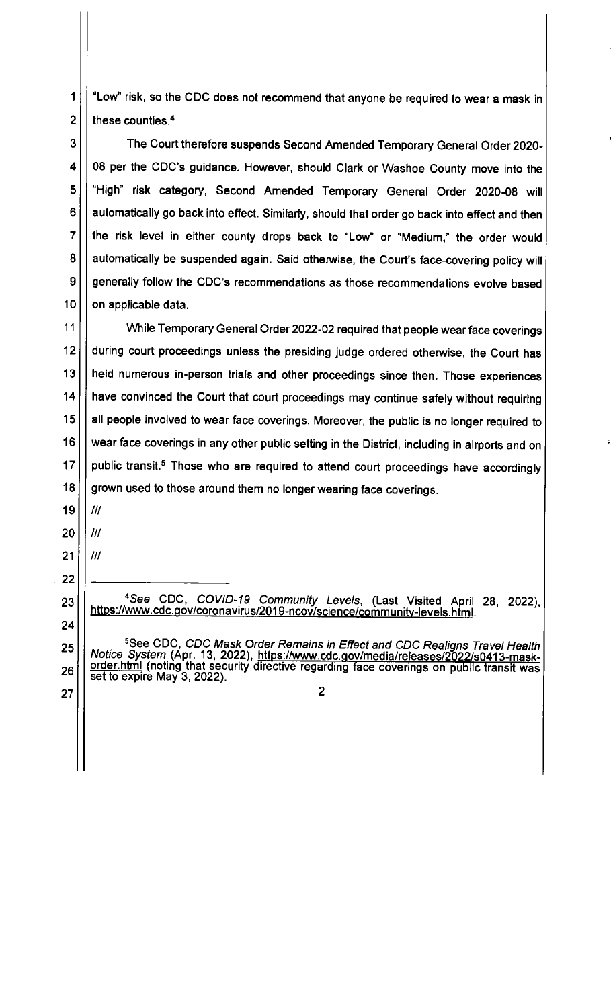1 "Low" risk, so the CDC does not recommend that anyone be required to wear a mask in  $2 \mid \mid$  these counties.<sup>4</sup>

3 | The Court therefore suspends Second Amended Temporary General Order 2020-08 per the CDC's guidance. However, should Clark or Washoe County move into the 5 | "High" risk category, Second Amended Temporary General Order 2020-08 will | | automatically go back into effect. Similarly, should that order go back into effect and then the risk level in either county drops back to "Low" or "Medium," the order would 8 | automatically be suspended again. Said otherwise, the Court's face-covering policy will  $\vert$  generally follow the CDC's recommendations as those recommendations evolve based | on applicable data.

11 While Temporary General Order 2022-02 required that people wear face coverings during court proceedings unless the presiding judge ordered otherwise, the Court has 13 | held numerous in-person trials and other proceedings since then. Those experiences 14 | have convinced the Court that court proceedings may continue safely without requiring 15 | all people involved to wear face coverings. Moreover, the public is no longer required to  $\vert\,\vert$  wear face coverings in any other public setting in the District, including in airports and on | public transit.<sup>5</sup> Those who are required to attend court proceedings have accordingly  $\vert\vert$  grown used to those around them no longer wearing face coverings.

 $\frac{1}{1}$ | |  $11$ 

|  $11$ 

4 See CDC, COVID-19 Community Levels, (Last Visited April 28, 2022), https://www .cdc.gov/coronavirus/2019-ncov/science/community-levels. html.

 See CDC, CDC Mask Order Remains in Effect and CDC Realigns Travel Health Notice System (Apr. 13, 2022), https://www.cdc.gov/media/releases/2022/s0413-maskorder.html (noting that security directive regarding face coverings on public transit was set to expire May 3, 2022).